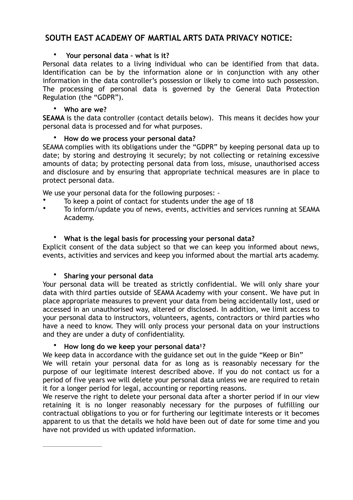# **SOUTH EAST ACADEMY OF MARTIAL ARTS DATA PRIVACY NOTICE:**

### • **Your personal data – what is it?**

Personal data relates to a living individual who can be identified from that data. Identification can be by the information alone or in conjunction with any other information in the data controller's possession or likely to come into such possession. The processing of personal data is governed by the General Data Protection Regulation (the "GDPR").

### • **Who are we?**

**SEAMA** is the data controller (contact details below). This means it decides how your personal data is processed and for what purposes.

### • **How do we process your personal data?**

SEAMA complies with its obligations under the "GDPR" by keeping personal data up to date; by storing and destroying it securely; by not collecting or retaining excessive amounts of data; by protecting personal data from loss, misuse, unauthorised access and disclosure and by ensuring that appropriate technical measures are in place to protect personal data.

We use your personal data for the following purposes: -

- To keep a point of contact for students under the age of 18
- To inform/update you of news, events, activities and services running at SEAMA Academy.

## • **What is the legal basis for processing your personal data?**

Explicit consent of the data subject so that we can keep you informed about news, events, activities and services and keep you informed about the martial arts academy.

## • **Sharing your personal data**

Your personal data will be treated as strictly confidential. We will only share your data with third parties outside of SEAMA Academy with your consent. We have put in place appropriate measures to prevent your data from being accidentally lost, used or accessed in an unauthorised way, altered or disclosed. In addition, we limit access to your personal data to instructors, volunteers, agents, contractors or third parties who have a need to know. They will only process your personal data on your instructions and they are under a duty of confidentiality.

### • **How long do we keep your personal data ? 1**

We keep data in accordance with the guidance set out in the guide "Keep or Bin" We will retain your personal data for as long as is reasonably necessary for the purpose of our legitimate interest described above. If you do not contact us for a period of five years we will delete your personal data unless we are required to retain it for a longer period for legal, accounting or reporting reasons.

We reserve the right to delete your personal data after a shorter period if in our view retaining it is no longer reasonably necessary for the purposes of fulfilling our contractual obligations to you or for furthering our legitimate interests or it becomes apparent to us that the details we hold have been out of date for some time and you have not provided us with updated information.